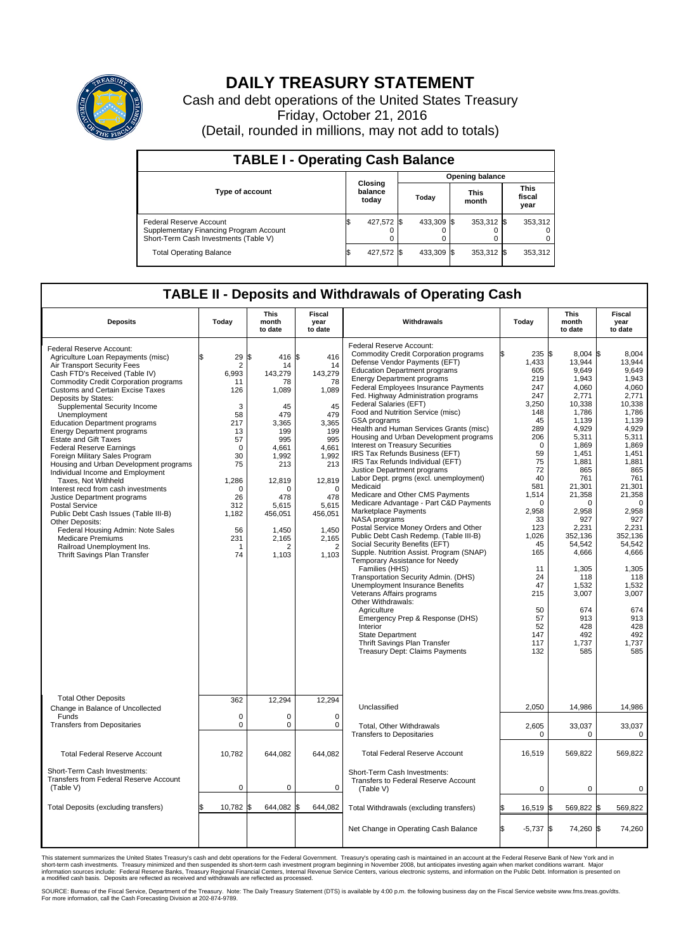

## **DAILY TREASURY STATEMENT**

Cash and debt operations of the United States Treasury Friday, October 21, 2016 (Detail, rounded in millions, may not add to totals)

| <b>TABLE I - Operating Cash Balance</b>                                                                     |    |                             |                        |            |  |                      |  |                               |  |
|-------------------------------------------------------------------------------------------------------------|----|-----------------------------|------------------------|------------|--|----------------------|--|-------------------------------|--|
|                                                                                                             |    |                             | <b>Opening balance</b> |            |  |                      |  |                               |  |
| Type of account                                                                                             |    | Closing<br>balance<br>today |                        | Today      |  | <b>This</b><br>month |  | <b>This</b><br>fiscal<br>year |  |
| Federal Reserve Account<br>Supplementary Financing Program Account<br>Short-Term Cash Investments (Table V) |    | 427,572 \$                  |                        | 433,309 \$ |  | 353,312 \$           |  | 353,312                       |  |
| <b>Total Operating Balance</b>                                                                              | ß. | 427,572 \$                  |                        | 433,309 \$ |  | 353,312 \$           |  | 353,312                       |  |

## **TABLE II - Deposits and Withdrawals of Operating Cash**

| <b>Deposits</b>                                                                                                                                                                                                                                                                                                                                                                                                                                                                                                                                                                                                                                                                                                                                                                                                                                                                    | Today                                                                                                                                                                         | This<br>month<br>to date                                                                                                                                                                   | Fiscal<br>year<br>to date                                                                                                                                                         | Withdrawals                                                                                                                                                                                                                                                                                                                                                                                                                                                                                                                                                                                                                                                                                                                                                                                                                                                                                                                                                                                                                                                                                                                                                                                                                                                                                | Today                                                                                                                                                                                                                                                             | <b>This</b><br>month<br>to date                                                                                                                                                                                                                                                                             | Fiscal<br>year<br>to date                                                                                                                                                                                                                                                                                |
|------------------------------------------------------------------------------------------------------------------------------------------------------------------------------------------------------------------------------------------------------------------------------------------------------------------------------------------------------------------------------------------------------------------------------------------------------------------------------------------------------------------------------------------------------------------------------------------------------------------------------------------------------------------------------------------------------------------------------------------------------------------------------------------------------------------------------------------------------------------------------------|-------------------------------------------------------------------------------------------------------------------------------------------------------------------------------|--------------------------------------------------------------------------------------------------------------------------------------------------------------------------------------------|-----------------------------------------------------------------------------------------------------------------------------------------------------------------------------------|--------------------------------------------------------------------------------------------------------------------------------------------------------------------------------------------------------------------------------------------------------------------------------------------------------------------------------------------------------------------------------------------------------------------------------------------------------------------------------------------------------------------------------------------------------------------------------------------------------------------------------------------------------------------------------------------------------------------------------------------------------------------------------------------------------------------------------------------------------------------------------------------------------------------------------------------------------------------------------------------------------------------------------------------------------------------------------------------------------------------------------------------------------------------------------------------------------------------------------------------------------------------------------------------|-------------------------------------------------------------------------------------------------------------------------------------------------------------------------------------------------------------------------------------------------------------------|-------------------------------------------------------------------------------------------------------------------------------------------------------------------------------------------------------------------------------------------------------------------------------------------------------------|----------------------------------------------------------------------------------------------------------------------------------------------------------------------------------------------------------------------------------------------------------------------------------------------------------|
| Federal Reserve Account:<br>Agriculture Loan Repayments (misc)<br>Air Transport Security Fees<br>Cash FTD's Received (Table IV)<br><b>Commodity Credit Corporation programs</b><br><b>Customs and Certain Excise Taxes</b><br>Deposits by States:<br>Supplemental Security Income<br>Unemployment<br><b>Education Department programs</b><br><b>Energy Department programs</b><br><b>Estate and Gift Taxes</b><br><b>Federal Reserve Earnings</b><br>Foreign Military Sales Program<br>Housing and Urban Development programs<br>Individual Income and Employment<br>Taxes. Not Withheld<br>Interest recd from cash investments<br>Justice Department programs<br><b>Postal Service</b><br>Public Debt Cash Issues (Table III-B)<br>Other Deposits:<br>Federal Housing Admin: Note Sales<br><b>Medicare Premiums</b><br>Railroad Unemployment Ins.<br>Thrift Savings Plan Transfer | \$<br>29<br>$\overline{2}$<br>6,993<br>11<br>126<br>3<br>58<br>217<br>13<br>57<br>$\mathbf 0$<br>30<br>75<br>1,286<br>$\Omega$<br>26<br>312<br>1.182<br>56<br>231<br>-1<br>74 | 416 \$<br>\$<br>14<br>143,279<br>78<br>1,089<br>45<br>479<br>3,365<br>199<br>995<br>4,661<br>1.992<br>213<br>12,819<br>$\Omega$<br>478<br>5,615<br>456,051<br>1.450<br>2,165<br>2<br>1,103 | 416<br>14<br>143,279<br>78<br>1,089<br>45<br>479<br>3,365<br>199<br>995<br>4,661<br>1,992<br>213<br>12,819<br>$\Omega$<br>478<br>5,615<br>456,051<br>1,450<br>2,165<br>2<br>1,103 | Federal Reserve Account:<br><b>Commodity Credit Corporation programs</b><br>Defense Vendor Payments (EFT)<br><b>Education Department programs</b><br><b>Energy Department programs</b><br><b>Federal Employees Insurance Payments</b><br>Fed. Highway Administration programs<br>Federal Salaries (EFT)<br>Food and Nutrition Service (misc)<br>GSA programs<br>Health and Human Services Grants (misc)<br>Housing and Urban Development programs<br>Interest on Treasury Securities<br>IRS Tax Refunds Business (EFT)<br>IRS Tax Refunds Individual (EFT)<br>Justice Department programs<br>Labor Dept. prgms (excl. unemployment)<br>Medicaid<br>Medicare and Other CMS Payments<br>Medicare Advantage - Part C&D Payments<br>Marketplace Payments<br>NASA programs<br>Postal Service Money Orders and Other<br>Public Debt Cash Redemp. (Table III-B)<br>Social Security Benefits (EFT)<br>Supple. Nutrition Assist. Program (SNAP)<br>Temporary Assistance for Needy<br>Families (HHS)<br>Transportation Security Admin. (DHS)<br>Unemployment Insurance Benefits<br>Veterans Affairs programs<br>Other Withdrawals:<br>Agriculture<br>Emergency Prep & Response (DHS)<br>Interior<br><b>State Department</b><br>Thrift Savings Plan Transfer<br><b>Treasury Dept: Claims Payments</b> | 235 \$<br>1,433<br>605<br>219<br>247<br>247<br>3.250<br>148<br>45<br>289<br>206<br>$\mathbf 0$<br>59<br>75<br>72<br>40<br>581<br>1,514<br>$\mathbf 0$<br>2,958<br>33<br>123<br>1,026<br>45<br>165<br>11<br>24<br>47<br>215<br>50<br>57<br>52<br>147<br>117<br>132 | 8,004 \$<br>13,944<br>9.649<br>1,943<br>4,060<br>2,771<br>10.338<br>1,786<br>1,139<br>4,929<br>5,311<br>1,869<br>1,451<br>1,881<br>865<br>761<br>21,301<br>21,358<br>0<br>2,958<br>927<br>2,231<br>352,136<br>54,542<br>4,666<br>1,305<br>118<br>1,532<br>3,007<br>674<br>913<br>428<br>492<br>1,737<br>585 | 8,004<br>13.944<br>9.649<br>1,943<br>4.060<br>2,771<br>10.338<br>1,786<br>1.139<br>4,929<br>5,311<br>1,869<br>1,451<br>1,881<br>865<br>761<br>21,301<br>21,358<br>0<br>2,958<br>927<br>2,231<br>352.136<br>54,542<br>4,666<br>1,305<br>118<br>1,532<br>3,007<br>674<br>913<br>428<br>492<br>1,737<br>585 |
| <b>Total Other Deposits</b><br>Change in Balance of Uncollected<br>Funds<br><b>Transfers from Depositaries</b>                                                                                                                                                                                                                                                                                                                                                                                                                                                                                                                                                                                                                                                                                                                                                                     | 362<br>$\mathbf 0$<br>$\mathbf 0$                                                                                                                                             | 12,294<br>0<br>0                                                                                                                                                                           | 12,294<br>$\mathbf 0$<br>$\mathbf 0$                                                                                                                                              | Unclassified<br>Total, Other Withdrawals<br><b>Transfers to Depositaries</b>                                                                                                                                                                                                                                                                                                                                                                                                                                                                                                                                                                                                                                                                                                                                                                                                                                                                                                                                                                                                                                                                                                                                                                                                               | 2,050<br>2,605<br>$\mathbf 0$                                                                                                                                                                                                                                     | 14,986<br>33,037<br>0                                                                                                                                                                                                                                                                                       | 14,986<br>33,037<br>$\mathbf 0$                                                                                                                                                                                                                                                                          |
| <b>Total Federal Reserve Account</b>                                                                                                                                                                                                                                                                                                                                                                                                                                                                                                                                                                                                                                                                                                                                                                                                                                               | 10,782                                                                                                                                                                        | 644,082                                                                                                                                                                                    | 644,082                                                                                                                                                                           | <b>Total Federal Reserve Account</b>                                                                                                                                                                                                                                                                                                                                                                                                                                                                                                                                                                                                                                                                                                                                                                                                                                                                                                                                                                                                                                                                                                                                                                                                                                                       | 16,519                                                                                                                                                                                                                                                            | 569,822                                                                                                                                                                                                                                                                                                     | 569,822                                                                                                                                                                                                                                                                                                  |
| Short-Term Cash Investments:<br>Transfers from Federal Reserve Account<br>(Table V)                                                                                                                                                                                                                                                                                                                                                                                                                                                                                                                                                                                                                                                                                                                                                                                                | $\mathbf 0$                                                                                                                                                                   | 0                                                                                                                                                                                          | $\mathbf 0$                                                                                                                                                                       | Short-Term Cash Investments:<br>Transfers to Federal Reserve Account<br>(Table V)                                                                                                                                                                                                                                                                                                                                                                                                                                                                                                                                                                                                                                                                                                                                                                                                                                                                                                                                                                                                                                                                                                                                                                                                          | $\mathbf 0$                                                                                                                                                                                                                                                       | $\mathbf 0$                                                                                                                                                                                                                                                                                                 | $\mathbf 0$                                                                                                                                                                                                                                                                                              |
| Total Deposits (excluding transfers)                                                                                                                                                                                                                                                                                                                                                                                                                                                                                                                                                                                                                                                                                                                                                                                                                                               | 10,782<br>\$                                                                                                                                                                  | 644,082<br>ß.                                                                                                                                                                              | \$<br>644,082                                                                                                                                                                     | Total Withdrawals (excluding transfers)                                                                                                                                                                                                                                                                                                                                                                                                                                                                                                                                                                                                                                                                                                                                                                                                                                                                                                                                                                                                                                                                                                                                                                                                                                                    | 16,519 \$                                                                                                                                                                                                                                                         | 569,822 \$                                                                                                                                                                                                                                                                                                  | 569,822                                                                                                                                                                                                                                                                                                  |
|                                                                                                                                                                                                                                                                                                                                                                                                                                                                                                                                                                                                                                                                                                                                                                                                                                                                                    |                                                                                                                                                                               |                                                                                                                                                                                            |                                                                                                                                                                                   | Net Change in Operating Cash Balance                                                                                                                                                                                                                                                                                                                                                                                                                                                                                                                                                                                                                                                                                                                                                                                                                                                                                                                                                                                                                                                                                                                                                                                                                                                       | \$.<br>$-5,737$ \$                                                                                                                                                                                                                                                | 74,260 \$                                                                                                                                                                                                                                                                                                   | 74,260                                                                                                                                                                                                                                                                                                   |

This statement summarizes the United States Treasury's cash and debt operations for the Federal Government. Treasury's operating cash is maintained in an account at the Federal Reserve Bank of New York and in<br>short-term ca

SOURCE: Bureau of the Fiscal Service, Department of the Treasury. Note: The Daily Treasury Statement (DTS) is available by 4:00 p.m. the following business day on the Fiscal Service website www.fms.treas.gov/dts.<br>For more